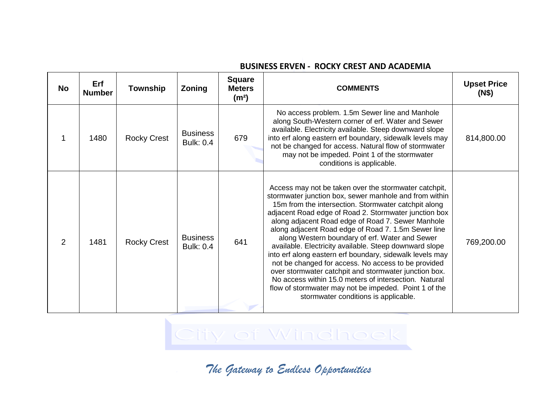| <b>No</b> | Erf<br><b>Number</b> | <b>Township</b>    | Zoning                              | <b>Square</b><br><b>Meters</b><br>(m <sup>2</sup> ) | <b>COMMENTS</b>                                                                                                                                                                                                                                                                                                                                                                                                                                                                                                                                                                                                                                                                                                                                                                                | <b>Upset Price</b><br>(N\$) |
|-----------|----------------------|--------------------|-------------------------------------|-----------------------------------------------------|------------------------------------------------------------------------------------------------------------------------------------------------------------------------------------------------------------------------------------------------------------------------------------------------------------------------------------------------------------------------------------------------------------------------------------------------------------------------------------------------------------------------------------------------------------------------------------------------------------------------------------------------------------------------------------------------------------------------------------------------------------------------------------------------|-----------------------------|
|           | 1480                 | <b>Rocky Crest</b> | <b>Business</b><br><b>Bulk: 0.4</b> | 679                                                 | No access problem. 1.5m Sewer line and Manhole<br>along South-Western corner of erf. Water and Sewer<br>available. Electricity available. Steep downward slope<br>into erf along eastern erf boundary, sidewalk levels may<br>not be changed for access. Natural flow of stormwater<br>may not be impeded. Point 1 of the stormwater<br>conditions is applicable.                                                                                                                                                                                                                                                                                                                                                                                                                              | 814,800.00                  |
| 2         | 1481                 | <b>Rocky Crest</b> | <b>Business</b><br><b>Bulk: 0.4</b> | 641                                                 | Access may not be taken over the stormwater catchpit,<br>stormwater junction box, sewer manhole and from within<br>15m from the intersection. Stormwater catchpit along<br>adjacent Road edge of Road 2. Stormwater junction box<br>along adjacent Road edge of Road 7. Sewer Manhole<br>along adjacent Road edge of Road 7. 1.5m Sewer line<br>along Western boundary of erf. Water and Sewer<br>available. Electricity available. Steep downward slope<br>into erf along eastern erf boundary, sidewalk levels may<br>not be changed for access. No access to be provided<br>over stormwater catchpit and stormwater junction box.<br>No access within 15.0 meters of intersection. Natural<br>flow of stormwater may not be impeded. Point 1 of the<br>stormwater conditions is applicable. | 769,200.00                  |

## **BUSINESS ERVEN - ROCKY CREST AND ACADEMIA**

City of Windhoek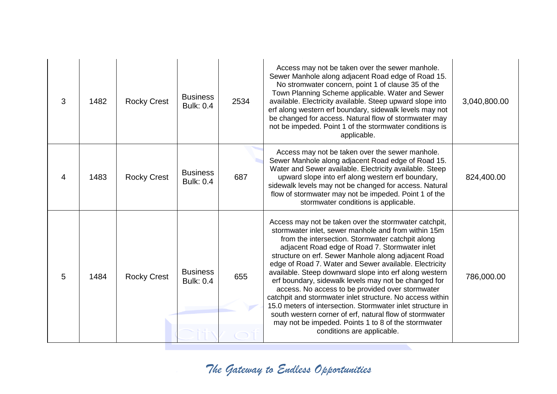| 3 | 1482 | <b>Rocky Crest</b> | <b>Business</b><br><b>Bulk: 0.4</b> | 2534 | Access may not be taken over the sewer manhole.<br>Sewer Manhole along adjacent Road edge of Road 15.<br>No stromwater concern, point 1 of clause 35 of the<br>Town Planning Scheme applicable. Water and Sewer<br>available. Electricity available. Steep upward slope into<br>erf along western erf boundary, sidewalk levels may not<br>be changed for access. Natural flow of stormwater may<br>not be impeded. Point 1 of the stormwater conditions is<br>applicable.                                                                                                                                                                                                                                                                                                           | 3,040,800.00 |
|---|------|--------------------|-------------------------------------|------|--------------------------------------------------------------------------------------------------------------------------------------------------------------------------------------------------------------------------------------------------------------------------------------------------------------------------------------------------------------------------------------------------------------------------------------------------------------------------------------------------------------------------------------------------------------------------------------------------------------------------------------------------------------------------------------------------------------------------------------------------------------------------------------|--------------|
| 4 | 1483 | <b>Rocky Crest</b> | <b>Business</b><br><b>Bulk: 0.4</b> | 687  | Access may not be taken over the sewer manhole.<br>Sewer Manhole along adjacent Road edge of Road 15.<br>Water and Sewer available. Electricity available. Steep<br>upward slope into erf along western erf boundary,<br>sidewalk levels may not be changed for access. Natural<br>flow of stormwater may not be impeded. Point 1 of the<br>stormwater conditions is applicable.                                                                                                                                                                                                                                                                                                                                                                                                     | 824,400.00   |
| 5 | 1484 | <b>Rocky Crest</b> | <b>Business</b><br><b>Bulk: 0.4</b> | 655  | Access may not be taken over the stormwater catchpit,<br>stormwater inlet, sewer manhole and from within 15m<br>from the intersection. Stormwater catchpit along<br>adjacent Road edge of Road 7. Stormwater inlet<br>structure on erf. Sewer Manhole along adjacent Road<br>edge of Road 7. Water and Sewer available. Electricity<br>available. Steep downward slope into erf along western<br>erf boundary, sidewalk levels may not be changed for<br>access. No access to be provided over stormwater<br>catchpit and stormwater inlet structure. No access within<br>15.0 meters of intersection. Stormwater inlet structure in<br>south western corner of erf, natural flow of stormwater<br>may not be impeded. Points 1 to 8 of the stormwater<br>conditions are applicable. | 786,000.00   |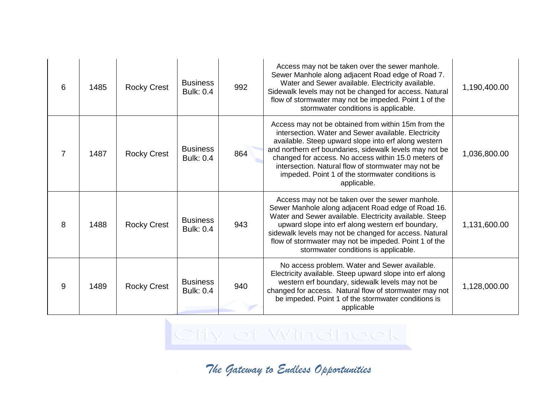| 6 | 1485 | <b>Rocky Crest</b> | <b>Business</b><br><b>Bulk: 0.4</b> | 992 | Access may not be taken over the sewer manhole.<br>Sewer Manhole along adjacent Road edge of Road 7.<br>Water and Sewer available. Electricity available.<br>Sidewalk levels may not be changed for access. Natural<br>flow of stormwater may not be impeded. Point 1 of the<br>stormwater conditions is applicable.                                                                                            | 1,190,400.00 |
|---|------|--------------------|-------------------------------------|-----|-----------------------------------------------------------------------------------------------------------------------------------------------------------------------------------------------------------------------------------------------------------------------------------------------------------------------------------------------------------------------------------------------------------------|--------------|
| 7 | 1487 | <b>Rocky Crest</b> | <b>Business</b><br><b>Bulk: 0.4</b> | 864 | Access may not be obtained from within 15m from the<br>intersection. Water and Sewer available. Electricity<br>available. Steep upward slope into erf along western<br>and northern erf boundaries, sidewalk levels may not be<br>changed for access. No access within 15.0 meters of<br>intersection. Natural flow of stormwater may not be<br>impeded. Point 1 of the stormwater conditions is<br>applicable. | 1,036,800.00 |
| 8 | 1488 | <b>Rocky Crest</b> | <b>Business</b><br><b>Bulk: 0.4</b> | 943 | Access may not be taken over the sewer manhole.<br>Sewer Manhole along adjacent Road edge of Road 16.<br>Water and Sewer available. Electricity available. Steep<br>upward slope into erf along western erf boundary,<br>sidewalk levels may not be changed for access. Natural<br>flow of stormwater may not be impeded. Point 1 of the<br>stormwater conditions is applicable.                                | 1,131,600.00 |
| 9 | 1489 | <b>Rocky Crest</b> | <b>Business</b><br><b>Bulk: 0.4</b> | 940 | No access problem. Water and Sewer available.<br>Electricity available. Steep upward slope into erf along<br>western erf boundary, sidewalk levels may not be<br>changed for access. Natural flow of stormwater may not<br>be impeded. Point 1 of the stormwater conditions is<br>applicable                                                                                                                    | 1,128,000.00 |

City of Windhoek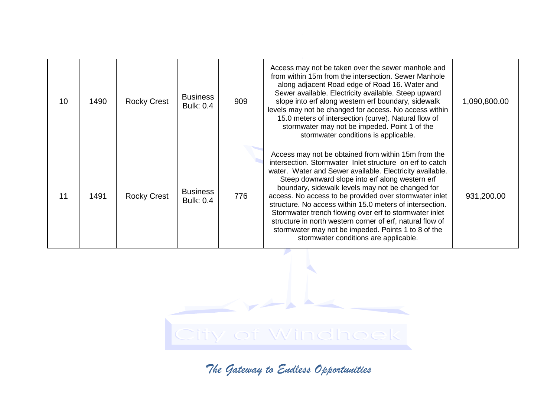| 10 | 1490 | <b>Rocky Crest</b> | <b>Business</b><br><b>Bulk: 0.4</b> | 909 | Access may not be taken over the sewer manhole and<br>from within 15m from the intersection. Sewer Manhole<br>along adjacent Road edge of Road 16. Water and<br>Sewer available. Electricity available. Steep upward<br>slope into erf along western erf boundary, sidewalk<br>levels may not be changed for access. No access within<br>15.0 meters of intersection (curve). Natural flow of<br>stormwater may not be impeded. Point 1 of the<br>stormwater conditions is applicable.                                                                                                                                          | 1,090,800.00 |
|----|------|--------------------|-------------------------------------|-----|---------------------------------------------------------------------------------------------------------------------------------------------------------------------------------------------------------------------------------------------------------------------------------------------------------------------------------------------------------------------------------------------------------------------------------------------------------------------------------------------------------------------------------------------------------------------------------------------------------------------------------|--------------|
| 11 | 1491 | <b>Rocky Crest</b> | <b>Business</b><br><b>Bulk: 0.4</b> | 776 | Access may not be obtained from within 15m from the<br>intersection. Stormwater Inlet structure on erf to catch<br>water. Water and Sewer available. Electricity available.<br>Steep downward slope into erf along western erf<br>boundary, sidewalk levels may not be changed for<br>access. No access to be provided over stormwater inlet<br>structure. No access within 15.0 meters of intersection.<br>Stormwater trench flowing over erf to stormwater inlet<br>structure in north western corner of erf, natural flow of<br>stormwater may not be impeded. Points 1 to 8 of the<br>stormwater conditions are applicable. | 931,200.00   |

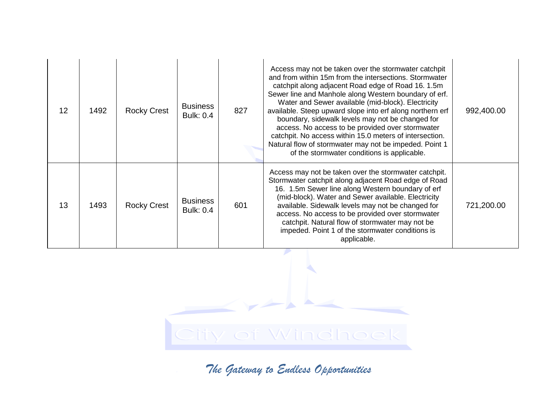| 12 | 1492 | <b>Rocky Crest</b> | <b>Business</b><br><b>Bulk: 0.4</b> | 827 | Access may not be taken over the stormwater catchpit<br>and from within 15m from the intersections. Stormwater<br>catchpit along adjacent Road edge of Road 16. 1.5m<br>Sewer line and Manhole along Western boundary of erf.<br>Water and Sewer available (mid-block). Electricity<br>available. Steep upward slope into erf along northern erf<br>boundary, sidewalk levels may not be changed for<br>access. No access to be provided over stormwater<br>catchpit. No access within 15.0 meters of intersection.<br>Natural flow of stormwater may not be impeded. Point 1<br>of the stormwater conditions is applicable. | 992,400.00 |
|----|------|--------------------|-------------------------------------|-----|------------------------------------------------------------------------------------------------------------------------------------------------------------------------------------------------------------------------------------------------------------------------------------------------------------------------------------------------------------------------------------------------------------------------------------------------------------------------------------------------------------------------------------------------------------------------------------------------------------------------------|------------|
| 13 | 1493 | <b>Rocky Crest</b> | <b>Business</b><br><b>Bulk: 0.4</b> | 601 | Access may not be taken over the stormwater catchpit.<br>Stormwater catchpit along adjacent Road edge of Road<br>16. 1.5m Sewer line along Western boundary of erf<br>(mid-block). Water and Sewer available. Electricity<br>available. Sidewalk levels may not be changed for<br>access. No access to be provided over stormwater<br>catchpit. Natural flow of stormwater may not be<br>impeded. Point 1 of the stormwater conditions is<br>applicable.                                                                                                                                                                     | 721,200.00 |

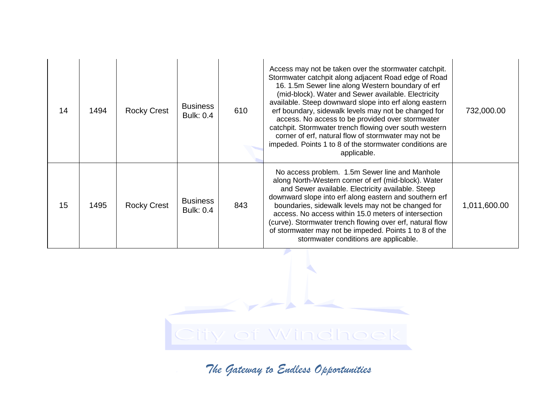| 14 | 1494 | <b>Rocky Crest</b> | <b>Business</b><br><b>Bulk: 0.4</b> | 610 | Access may not be taken over the stormwater catchpit.<br>Stormwater catchpit along adjacent Road edge of Road<br>16. 1.5m Sewer line along Western boundary of erf<br>(mid-block). Water and Sewer available. Electricity<br>available. Steep downward slope into erf along eastern<br>erf boundary, sidewalk levels may not be changed for<br>access. No access to be provided over stormwater<br>catchpit. Stormwater trench flowing over south western<br>corner of erf, natural flow of stormwater may not be<br>impeded. Points 1 to 8 of the stormwater conditions are<br>applicable. | 732,000.00   |
|----|------|--------------------|-------------------------------------|-----|---------------------------------------------------------------------------------------------------------------------------------------------------------------------------------------------------------------------------------------------------------------------------------------------------------------------------------------------------------------------------------------------------------------------------------------------------------------------------------------------------------------------------------------------------------------------------------------------|--------------|
| 15 | 1495 | <b>Rocky Crest</b> | <b>Business</b><br><b>Bulk: 0.4</b> | 843 | No access problem. 1.5m Sewer line and Manhole<br>along North-Western corner of erf (mid-block). Water<br>and Sewer available. Electricity available. Steep<br>downward slope into erf along eastern and southern erf<br>boundaries, sidewalk levels may not be changed for<br>access. No access within 15.0 meters of intersection<br>(curve). Stormwater trench flowing over erf, natural flow<br>of stormwater may not be impeded. Points 1 to 8 of the<br>stormwater conditions are applicable.                                                                                         | 1,011,600.00 |

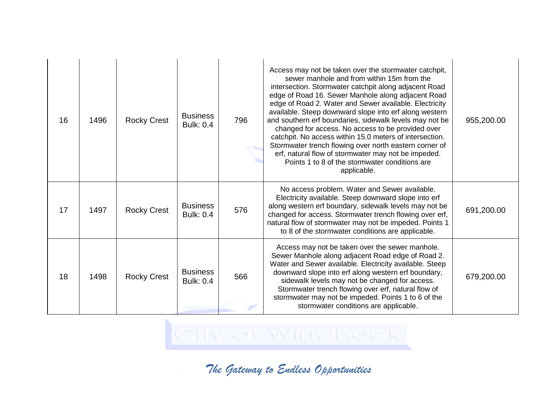| 16 | 1496 | <b>Rocky Crest</b> | <b>Business</b><br><b>Bulk: 0.4</b> | 796 | Access may not be taken over the stormwater catchpit,<br>sewer manhole and from within 15m from the<br>intersection. Stormwater catchpit along adjacent Road<br>edge of Road 16. Sewer Manhole along adjacent Road<br>edge of Road 2. Water and Sewer available. Electricity<br>available. Steep downward slope into erf along western<br>and southern erf boundaries, sidewalk levels may not be<br>changed for access. No access to be provided over<br>catchpit. No access within 15.0 meters of intersection.<br>Stormwater trench flowing over north eastern corner of<br>erf, natural flow of stormwater may not be impeded.<br>Points 1 to 8 of the stormwater conditions are<br>applicable. | 955,200.00 |
|----|------|--------------------|-------------------------------------|-----|-----------------------------------------------------------------------------------------------------------------------------------------------------------------------------------------------------------------------------------------------------------------------------------------------------------------------------------------------------------------------------------------------------------------------------------------------------------------------------------------------------------------------------------------------------------------------------------------------------------------------------------------------------------------------------------------------------|------------|
| 17 | 1497 | <b>Rocky Crest</b> | <b>Business</b><br><b>Bulk: 0.4</b> | 576 | No access problem. Water and Sewer available.<br>Electricity available. Steep downward slope into erf<br>along western erf boundary, sidewalk levels may not be<br>changed for access. Stormwater trench flowing over erf,<br>natural flow of stormwater may not be impeded. Points 1<br>to 8 of the stormwater conditions are applicable.                                                                                                                                                                                                                                                                                                                                                          | 691,200.00 |
| 18 | 1498 | <b>Rocky Crest</b> | <b>Business</b><br><b>Bulk: 0.4</b> | 566 | Access may not be taken over the sewer manhole.<br>Sewer Manhole along adjacent Road edge of Road 2.<br>Water and Sewer available. Electricity available. Steep<br>downward slope into erf along western erf boundary,<br>sidewalk levels may not be changed for access.<br>Stormwater trench flowing over erf, natural flow of<br>stormwater may not be impeded. Points 1 to 6 of the<br>stormwater conditions are applicable.                                                                                                                                                                                                                                                                     | 679,200.00 |

City of Windhoek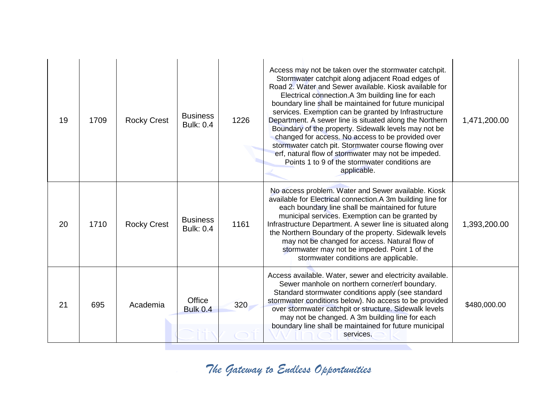| 19 | 1709 | <b>Rocky Crest</b> | <b>Business</b><br><b>Bulk: 0.4</b> | 1226 | Access may not be taken over the stormwater catchpit.<br>Stormwater catchpit along adjacent Road edges of<br>Road 2. Water and Sewer available. Kiosk available for<br>Electrical connection.A 3m building line for each<br>boundary line shall be maintained for future municipal<br>services. Exemption can be granted by Infrastructure<br>Department. A sewer line is situated along the Northern<br>Boundary of the property. Sidewalk levels may not be<br>changed for access. No access to be provided over<br>stormwater catch pit. Stormwater course flowing over<br>erf, natural flow of stormwater may not be impeded.<br>Points 1 to 9 of the stormwater conditions are<br>applicable. | 1,471,200.00 |
|----|------|--------------------|-------------------------------------|------|----------------------------------------------------------------------------------------------------------------------------------------------------------------------------------------------------------------------------------------------------------------------------------------------------------------------------------------------------------------------------------------------------------------------------------------------------------------------------------------------------------------------------------------------------------------------------------------------------------------------------------------------------------------------------------------------------|--------------|
| 20 | 1710 | <b>Rocky Crest</b> | <b>Business</b><br><b>Bulk: 0.4</b> | 1161 | No access problem. Water and Sewer available. Kiosk<br>available for Electrical connection.A 3m building line for<br>each boundary line shall be maintained for future<br>municipal services. Exemption can be granted by<br>Infrastructure Department. A sewer line is situated along<br>the Northern Boundary of the property. Sidewalk levels<br>may not be changed for access. Natural flow of<br>stormwater may not be impeded. Point 1 of the<br>stormwater conditions are applicable.                                                                                                                                                                                                       | 1,393,200.00 |
| 21 | 695  | Academia           | Office<br><b>Bulk 0.4</b>           | 320  | Access available. Water, sewer and electricity available.<br>Sewer manhole on northern corner/erf boundary.<br>Standard stormwater conditions apply (see standard<br>stormwater conditions below). No access to be provided<br>over stormwater catchpit or structure. Sidewalk levels<br>may not be changed. A 3m building line for each<br>boundary line shall be maintained for future municipal<br>services.                                                                                                                                                                                                                                                                                    | \$480,000.00 |